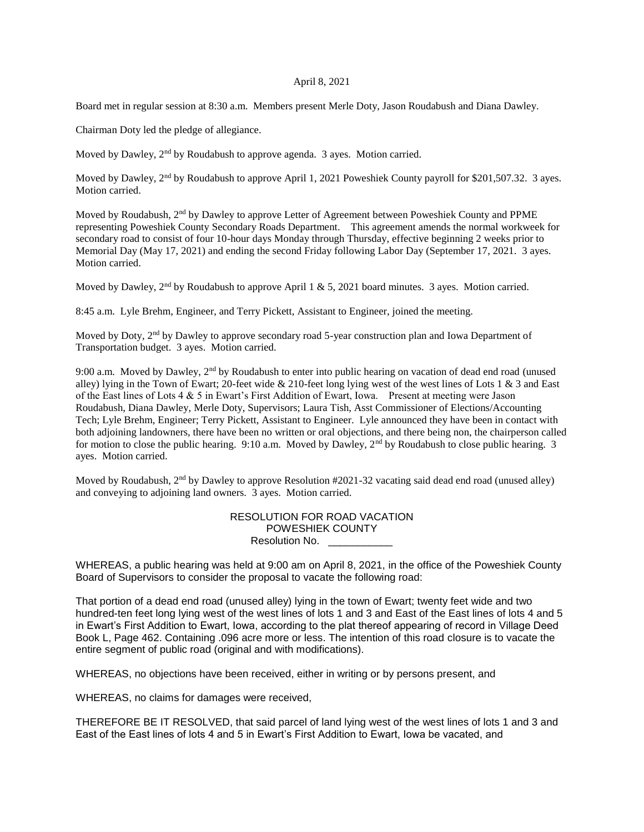## April 8, 2021

Board met in regular session at 8:30 a.m. Members present Merle Doty, Jason Roudabush and Diana Dawley.

Chairman Doty led the pledge of allegiance.

Moved by Dawley, 2<sup>nd</sup> by Roudabush to approve agenda. 3 ayes. Motion carried.

Moved by Dawley, 2<sup>nd</sup> by Roudabush to approve April 1, 2021 Poweshiek County payroll for \$201,507.32. 3 ayes. Motion carried.

Moved by Roudabush, 2<sup>nd</sup> by Dawley to approve Letter of Agreement between Poweshiek County and PPME representing Poweshiek County Secondary Roads Department. This agreement amends the normal workweek for secondary road to consist of four 10-hour days Monday through Thursday, effective beginning 2 weeks prior to Memorial Day (May 17, 2021) and ending the second Friday following Labor Day (September 17, 2021. 3 ayes. Motion carried.

Moved by Dawley,  $2<sup>nd</sup>$  by Roudabush to approve April 1 & 5, 2021 board minutes. 3 ayes. Motion carried.

8:45 a.m. Lyle Brehm, Engineer, and Terry Pickett, Assistant to Engineer, joined the meeting.

Moved by Doty, 2<sup>nd</sup> by Dawley to approve secondary road 5-year construction plan and Iowa Department of Transportation budget. 3 ayes. Motion carried.

9:00 a.m. Moved by Dawley, 2nd by Roudabush to enter into public hearing on vacation of dead end road (unused alley) lying in the Town of Ewart; 20-feet wide  $& 210$ -feet long lying west of the west lines of Lots 1  $& 3$  and East of the East lines of Lots 4 & 5 in Ewart's First Addition of Ewart, Iowa. Present at meeting were Jason Roudabush, Diana Dawley, Merle Doty, Supervisors; Laura Tish, Asst Commissioner of Elections/Accounting Tech; Lyle Brehm, Engineer; Terry Pickett, Assistant to Engineer. Lyle announced they have been in contact with both adjoining landowners, there have been no written or oral objections, and there being non, the chairperson called for motion to close the public hearing. 9:10 a.m. Moved by Dawley, 2<sup>nd</sup> by Roudabush to close public hearing. 3 ayes. Motion carried.

Moved by Roudabush,  $2<sup>nd</sup>$  by Dawley to approve Resolution #2021-32 vacating said dead end road (unused alley) and conveying to adjoining land owners. 3 ayes. Motion carried.

| RESOLUTION FOR ROAD VACATION |
|------------------------------|
| <b>POWESHIEK COUNTY</b>      |
| Resolution No.               |

WHEREAS, a public hearing was held at 9:00 am on April 8, 2021, in the office of the Poweshiek County Board of Supervisors to consider the proposal to vacate the following road:

That portion of a dead end road (unused alley) lying in the town of Ewart; twenty feet wide and two hundred-ten feet long lying west of the west lines of lots 1 and 3 and East of the East lines of lots 4 and 5 in Ewart's First Addition to Ewart, Iowa, according to the plat thereof appearing of record in Village Deed Book L, Page 462. Containing .096 acre more or less. The intention of this road closure is to vacate the entire segment of public road (original and with modifications).

WHEREAS, no objections have been received, either in writing or by persons present, and

WHEREAS, no claims for damages were received,

THEREFORE BE IT RESOLVED, that said parcel of land lying west of the west lines of lots 1 and 3 and East of the East lines of lots 4 and 5 in Ewart's First Addition to Ewart, Iowa be vacated, and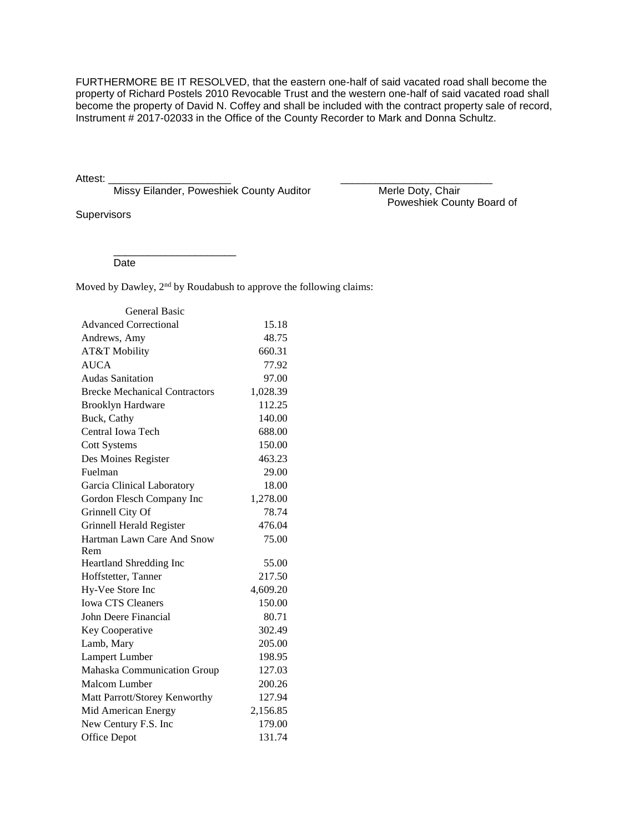FURTHERMORE BE IT RESOLVED, that the eastern one-half of said vacated road shall become the property of Richard Postels 2010 Revocable Trust and the western one-half of said vacated road shall become the property of David N. Coffey and shall be included with the contract property sale of record, Instrument # 2017-02033 in the Office of the County Recorder to Mark and Donna Schultz.

Attest: \_\_\_\_\_\_\_\_\_\_\_\_\_\_\_\_\_\_\_\_\_ \_\_\_\_\_\_\_\_\_\_\_\_\_\_\_\_\_\_\_\_\_\_\_\_\_\_

Missy Eilander, Poweshiek County Auditor Merle Doty, Chair

\_\_\_\_\_\_\_\_\_\_\_\_\_\_\_\_\_\_\_\_\_

**Supervisors** 

Poweshiek County Board of

Date

Moved by Dawley, 2<sup>nd</sup> by Roudabush to approve the following claims:

| <b>General Basic</b>                 |          |
|--------------------------------------|----------|
| <b>Advanced Correctional</b>         | 15.18    |
| Andrews, Amy                         | 48.75    |
| AT&T Mobility                        | 660.31   |
| <b>AUCA</b>                          | 77.92    |
| <b>Audas Sanitation</b>              | 97.00    |
| <b>Brecke Mechanical Contractors</b> | 1,028.39 |
| <b>Brooklyn Hardware</b>             | 112.25   |
| Buck, Cathy                          | 140.00   |
| Central Iowa Tech                    | 688.00   |
| <b>Cott Systems</b>                  | 150.00   |
| Des Moines Register                  | 463.23   |
| Fuelman                              | 29.00    |
| Garcia Clinical Laboratory           | 18.00    |
| Gordon Flesch Company Inc            | 1,278.00 |
| Grinnell City Of                     | 78.74    |
| Grinnell Herald Register             | 476.04   |
| Hartman Lawn Care And Snow           | 75.00    |
| Rem                                  |          |
| Heartland Shredding Inc              | 55.00    |
| Hoffstetter, Tanner                  | 217.50   |
| Hy-Vee Store Inc                     | 4,609.20 |
| <b>Iowa CTS Cleaners</b>             | 150.00   |
| John Deere Financial                 | 80.71    |
| Key Cooperative                      | 302.49   |
| Lamb, Mary                           | 205.00   |
| Lampert Lumber                       | 198.95   |
| Mahaska Communication Group          | 127.03   |
| Malcom Lumber                        | 200.26   |
| Matt Parrott/Storey Kenworthy        | 127.94   |
| Mid American Energy                  | 2,156.85 |
| New Century F.S. Inc                 | 179.00   |
| <b>Office Depot</b>                  | 131.74   |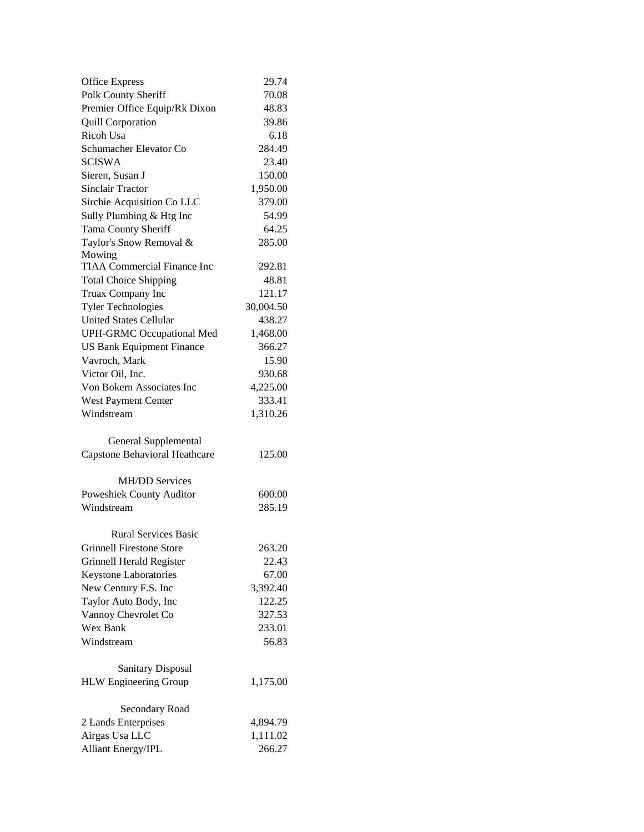| <b>Office Express</b>              | 29.74     |
|------------------------------------|-----------|
| Polk County Sheriff                | 70.08     |
| Premier Office Equip/Rk Dixon      | 48.83     |
| <b>Quill Corporation</b>           | 39.86     |
| <b>Ricoh Usa</b>                   | 6.18      |
| Schumacher Elevator Co             | 284.49    |
| <b>SCISWA</b>                      | 23.40     |
| Sieren, Susan J                    | 150.00    |
| <b>Sinclair Tractor</b>            | 1,950.00  |
| Sirchie Acquisition Co LLC         | 379.00    |
| Sully Plumbing & Htg Inc           | 54.99     |
| Tama County Sheriff                | 64.25     |
| Taylor's Snow Removal &            | 285.00    |
| Mowing                             |           |
| <b>TIAA Commercial Finance Inc</b> | 292.81    |
| <b>Total Choice Shipping</b>       | 48.81     |
| Truax Company Inc                  | 121.17    |
| <b>Tyler Technologies</b>          | 30,004.50 |
| <b>United States Cellular</b>      | 438.27    |
| <b>UPH-GRMC Occupational Med</b>   | 1,468.00  |
| <b>US Bank Equipment Finance</b>   | 366.27    |
| Vavroch, Mark                      | 15.90     |
| Victor Oil, Inc.                   | 930.68    |
| Von Bokern Associates Inc          | 4,225.00  |
| West Payment Center                | 333.41    |
| Windstream                         | 1,310.26  |
| General Supplemental               |           |
| Capstone Behavioral Heathcare      | 125.00    |
| <b>MH/DD Services</b>              |           |
| Poweshiek County Auditor           | 600.00    |
| Windstream                         | 285.19    |
| <b>Rural Services Basic</b>        |           |
| <b>Grinnell Firestone Store</b>    | 263.20    |
| Grinnell Herald Register           | 22.43     |
| Keystone Laboratories              | 67.00     |
| New Century F.S. Inc               | 3,392.40  |
| Taylor Auto Body, Inc              | 122.25    |
| Vannoy Chevrolet Co                | 327.53    |
| Wex Bank                           | 233.01    |
| Windstream                         | 56.83     |
| <b>Sanitary Disposal</b>           |           |
| <b>HLW</b> Engineering Group       | 1,175.00  |
| Secondary Road                     |           |
| 2 Lands Enterprises                | 4,894.79  |
| Airgas Usa LLC                     | 1,111.02  |
| <b>Alliant Energy/IPL</b>          | 266.27    |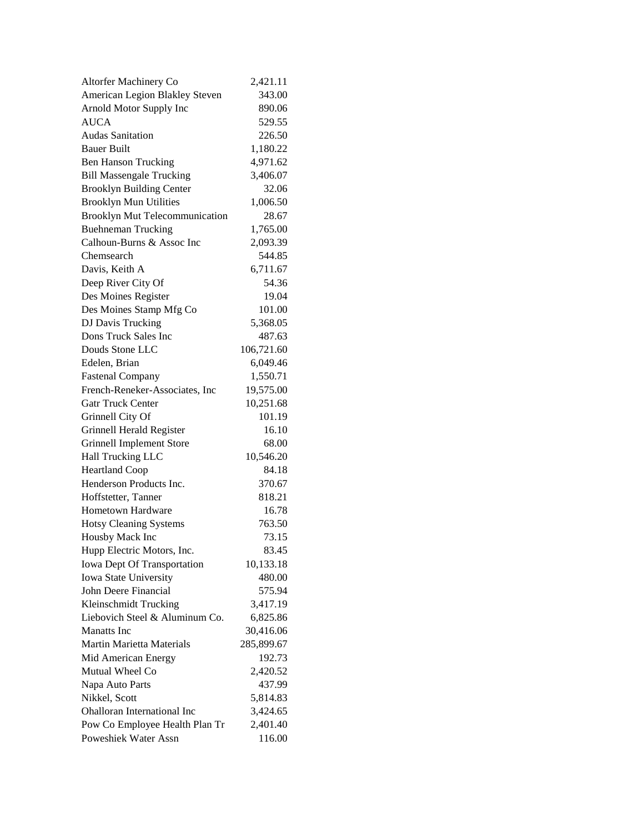| Altorfer Machinery Co                 | 2,421.11   |
|---------------------------------------|------------|
| American Legion Blakley Steven        | 343.00     |
| Arnold Motor Supply Inc               | 890.06     |
| <b>AUCA</b>                           | 529.55     |
| <b>Audas Sanitation</b>               | 226.50     |
| <b>Bauer Built</b>                    | 1,180.22   |
| <b>Ben Hanson Trucking</b>            | 4,971.62   |
| <b>Bill Massengale Trucking</b>       | 3,406.07   |
| <b>Brooklyn Building Center</b>       | 32.06      |
| <b>Brooklyn Mun Utilities</b>         | 1,006.50   |
| <b>Brooklyn Mut Telecommunication</b> | 28.67      |
| <b>Buehneman Trucking</b>             | 1,765.00   |
| Calhoun-Burns & Assoc Inc             | 2,093.39   |
| Chemsearch                            | 544.85     |
| Davis, Keith A                        | 6,711.67   |
| Deep River City Of                    | 54.36      |
| Des Moines Register                   | 19.04      |
| Des Moines Stamp Mfg Co               | 101.00     |
| DJ Davis Trucking                     | 5,368.05   |
| Dons Truck Sales Inc                  | 487.63     |
| Douds Stone LLC                       | 106,721.60 |
| Edelen, Brian                         | 6,049.46   |
| <b>Fastenal Company</b>               | 1,550.71   |
| French-Reneker-Associates, Inc        | 19,575.00  |
| <b>Gatr Truck Center</b>              | 10,251.68  |
| Grinnell City Of                      | 101.19     |
| Grinnell Herald Register              | 16.10      |
| <b>Grinnell Implement Store</b>       | 68.00      |
| Hall Trucking LLC                     | 10,546.20  |
| <b>Heartland Coop</b>                 | 84.18      |
| Henderson Products Inc.               | 370.67     |
| Hoffstetter, Tanner                   | 818.21     |
| <b>Hometown Hardware</b>              | 16.78      |
| <b>Hotsy Cleaning Systems</b>         | 763.50     |
| Housby Mack Inc                       | 73.15      |
| Hupp Electric Motors, Inc.            | 83.45      |
| Iowa Dept Of Transportation           | 10,133.18  |
| Iowa State University                 | 480.00     |
| John Deere Financial                  | 575.94     |
| Kleinschmidt Trucking                 | 3,417.19   |
| Liebovich Steel & Aluminum Co.        | 6,825.86   |
| <b>Manatts</b> Inc.                   | 30,416.06  |
| <b>Martin Marietta Materials</b>      | 285,899.67 |
| Mid American Energy                   | 192.73     |
| Mutual Wheel Co                       | 2,420.52   |
| Napa Auto Parts                       | 437.99     |
| Nikkel, Scott                         | 5,814.83   |
| <b>Ohalloran International Inc</b>    | 3,424.65   |
| Pow Co Employee Health Plan Tr        | 2,401.40   |
| Poweshiek Water Assn                  | 116.00     |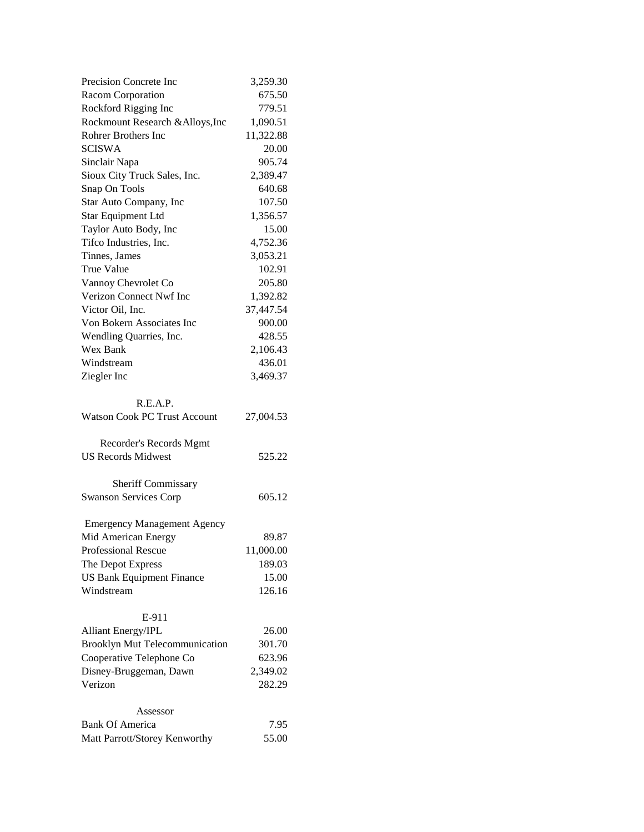| Precision Concrete Inc                                  | 3,259.30        |
|---------------------------------------------------------|-----------------|
| Racom Corporation                                       | 675.50          |
| Rockford Rigging Inc                                    | 779.51          |
| Rockmount Research & Alloys, Inc                        | 1,090.51        |
| Rohrer Brothers Inc                                     | 11,322.88       |
| <b>SCISWA</b>                                           | 20.00           |
| Sinclair Napa                                           | 905.74          |
| Sioux City Truck Sales, Inc.                            | 2,389.47        |
| Snap On Tools                                           | 640.68          |
| Star Auto Company, Inc                                  | 107.50          |
| <b>Star Equipment Ltd</b>                               | 1,356.57        |
| Taylor Auto Body, Inc                                   | 15.00           |
| Tifco Industries, Inc.                                  | 4,752.36        |
| Tinnes, James                                           | 3,053.21        |
| <b>True Value</b>                                       | 102.91          |
| Vannoy Chevrolet Co                                     | 205.80          |
| Verizon Connect Nwf Inc                                 | 1,392.82        |
| Victor Oil, Inc.                                        | 37,447.54       |
| Von Bokern Associates Inc                               | 900.00          |
| Wendling Quarries, Inc.                                 | 428.55          |
| Wex Bank                                                | 2,106.43        |
| Windstream                                              | 436.01          |
| Ziegler Inc                                             | 3,469.37        |
|                                                         |                 |
| R.E.A.P.<br><b>Watson Cook PC Trust Account</b>         |                 |
|                                                         | 27,004.53       |
| Recorder's Records Mgmt                                 |                 |
| <b>US Records Midwest</b>                               | 525.22          |
|                                                         |                 |
| <b>Sheriff Commissary</b>                               |                 |
|                                                         |                 |
| <b>Swanson Services Corp</b>                            | 605.12          |
|                                                         |                 |
| <b>Emergency Management Agency</b>                      |                 |
| Mid American Energy                                     | 89.87           |
| <b>Professional Rescue</b>                              | 11,000.00       |
| The Depot Express                                       | 189.03          |
| <b>US Bank Equipment Finance</b>                        | 15.00           |
| Windstream                                              | 126.16          |
|                                                         |                 |
| E-911                                                   |                 |
| <b>Alliant Energy/IPL</b>                               | 26.00<br>301.70 |
| <b>Brooklyn Mut Telecommunication</b>                   | 623.96          |
| Cooperative Telephone Co<br>Disney-Bruggeman, Dawn      | 2,349.02        |
| Verizon                                                 | 282.29          |
|                                                         |                 |
| Assessor                                                |                 |
| <b>Bank Of America</b><br>Matt Parrott/Storey Kenworthy | 7.95<br>55.00   |